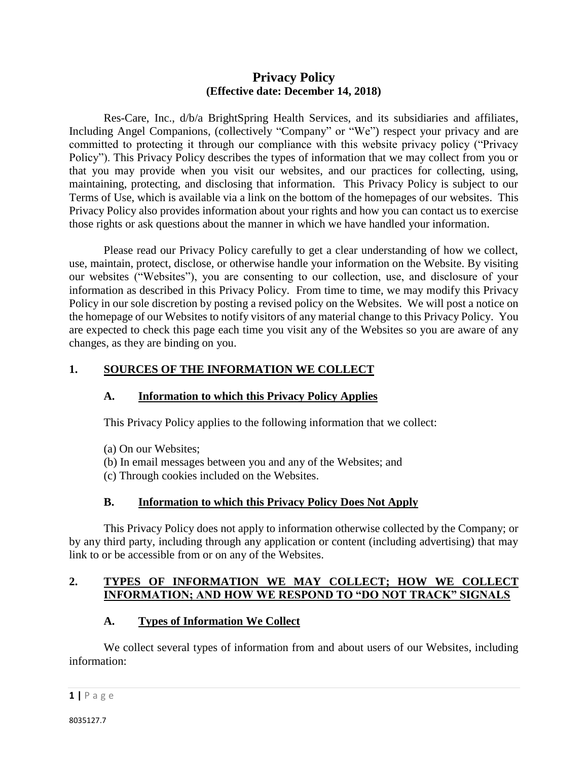## **Privacy Policy (Effective date: December 14, 2018)**

Res-Care, Inc., d/b/a BrightSpring Health Services, and its subsidiaries and affiliates, Including Angel Companions, (collectively "Company" or "We") respect your privacy and are committed to protecting it through our compliance with this website privacy policy ("Privacy Policy"). This Privacy Policy describes the types of information that we may collect from you or that you may provide when you visit our websites, and our practices for collecting, using, maintaining, protecting, and disclosing that information. This Privacy Policy is subject to our Terms of Use, which is available via a link on the bottom of the homepages of our websites. This Privacy Policy also provides information about your rights and how you can contact us to exercise those rights or ask questions about the manner in which we have handled your information.

Please read our Privacy Policy carefully to get a clear understanding of how we collect, use, maintain, protect, disclose, or otherwise handle your information on the Website. By visiting our websites ("Websites"), you are consenting to our collection, use, and disclosure of your information as described in this Privacy Policy. From time to time, we may modify this Privacy Policy in our sole discretion by posting a revised policy on the Websites. We will post a notice on the homepage of our Websites to notify visitors of any material change to this Privacy Policy. You are expected to check this page each time you visit any of the Websites so you are aware of any changes, as they are binding on you.

### **1. SOURCES OF THE INFORMATION WE COLLECT**

#### **A. Information to which this Privacy Policy Applies**

This Privacy Policy applies to the following information that we collect:

- (a) On our Websites;
- (b) In email messages between you and any of the Websites; and
- (c) Through cookies included on the Websites.

### **B. Information to which this Privacy Policy Does Not Apply**

This Privacy Policy does not apply to information otherwise collected by the Company; or by any third party, including through any application or content (including advertising) that may link to or be accessible from or on any of the Websites.

# **2. TYPES OF INFORMATION WE MAY COLLECT; HOW WE COLLECT INFORMATION; AND HOW WE RESPOND TO "DO NOT TRACK" SIGNALS**

### **A. Types of Information We Collect**

We collect several types of information from and about users of our Websites, including information: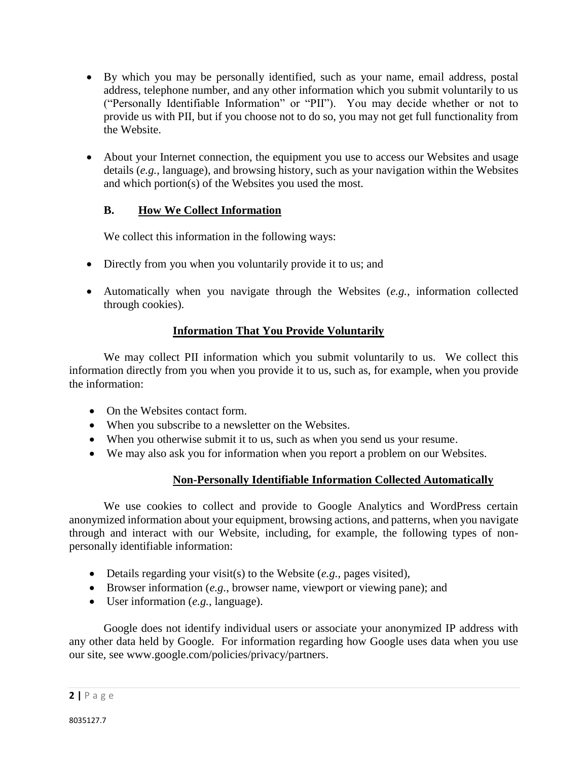- By which you may be personally identified, such as your name, email address, postal address, telephone number, and any other information which you submit voluntarily to us ("Personally Identifiable Information" or "PII"). You may decide whether or not to provide us with PII, but if you choose not to do so, you may not get full functionality from the Website.
- About your Internet connection, the equipment you use to access our Websites and usage details (*e.g.*, language), and browsing history, such as your navigation within the Websites and which portion(s) of the Websites you used the most.

### **B. How We Collect Information**

We collect this information in the following ways:

- Directly from you when you voluntarily provide it to us; and
- Automatically when you navigate through the Websites (*e.g.*, information collected through cookies).

#### **Information That You Provide Voluntarily**

We may collect PII information which you submit voluntarily to us. We collect this information directly from you when you provide it to us, such as, for example, when you provide the information:

- On the Websites contact form.
- When you subscribe to a newsletter on the Websites.
- When you otherwise submit it to us, such as when you send us your resume.
- We may also ask you for information when you report a problem on our Websites.

### **Non-Personally Identifiable Information Collected Automatically**

We use cookies to collect and provide to Google Analytics and WordPress certain anonymized information about your equipment, browsing actions, and patterns, when you navigate through and interact with our Website, including, for example, the following types of nonpersonally identifiable information:

- Details regarding your visit(s) to the Website (*e.g.*, pages visited),
- Browser information (*e.g.*, browser name, viewport or viewing pane); and
- User information (*e.g.*, language).

Google does not identify individual users or associate your anonymized IP address with any other data held by Google. For information regarding how Google uses data when you use our site, see www.google.com/policies/privacy/partners.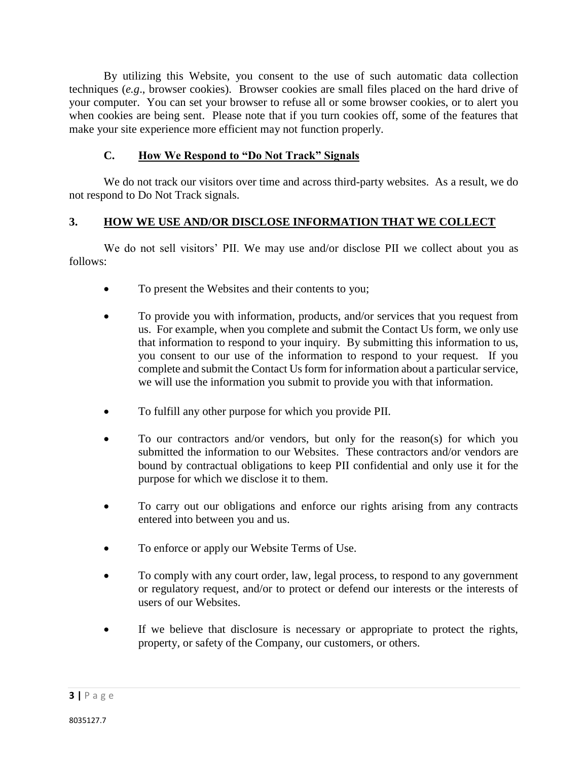By utilizing this Website, you consent to the use of such automatic data collection techniques (*e.g*., browser cookies). Browser cookies are small files placed on the hard drive of your computer. You can set your browser to refuse all or some browser cookies, or to alert you when cookies are being sent. Please note that if you turn cookies off, some of the features that make your site experience more efficient may not function properly.

## **C. How We Respond to "Do Not Track" Signals**

We do not track our visitors over time and across third-party websites. As a result, we do not respond to Do Not Track signals.

# **3. HOW WE USE AND/OR DISCLOSE INFORMATION THAT WE COLLECT**

We do not sell visitors' PII. We may use and/or disclose PII we collect about you as follows:

- To present the Websites and their contents to you;
- To provide you with information, products, and/or services that you request from us. For example, when you complete and submit the Contact Us form, we only use that information to respond to your inquiry. By submitting this information to us, you consent to our use of the information to respond to your request. If you complete and submit the Contact Us form for information about a particular service, we will use the information you submit to provide you with that information.
- To fulfill any other purpose for which you provide PII.
- To our contractors and/or vendors, but only for the reason(s) for which you submitted the information to our Websites. These contractors and/or vendors are bound by contractual obligations to keep PII confidential and only use it for the purpose for which we disclose it to them.
- To carry out our obligations and enforce our rights arising from any contracts entered into between you and us.
- To enforce or apply our Website Terms of Use.
- To comply with any court order, law, legal process, to respond to any government or regulatory request, and/or to protect or defend our interests or the interests of users of our Websites.
- If we believe that disclosure is necessary or appropriate to protect the rights, property, or safety of the Company, our customers, or others.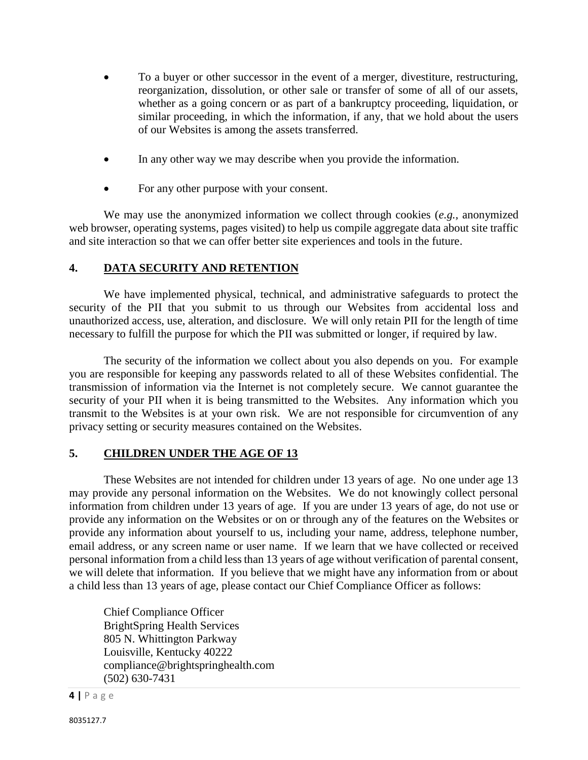- To a buyer or other successor in the event of a merger, divestiture, restructuring, reorganization, dissolution, or other sale or transfer of some of all of our assets, whether as a going concern or as part of a bankruptcy proceeding, liquidation, or similar proceeding, in which the information, if any, that we hold about the users of our Websites is among the assets transferred.
- In any other way we may describe when you provide the information.
- For any other purpose with your consent.

We may use the anonymized information we collect through cookies (*e.g.,* anonymized web browser, operating systems, pages visited) to help us compile aggregate data about site traffic and site interaction so that we can offer better site experiences and tools in the future.

# **4. DATA SECURITY AND RETENTION**

We have implemented physical, technical, and administrative safeguards to protect the security of the PII that you submit to us through our Websites from accidental loss and unauthorized access, use, alteration, and disclosure. We will only retain PII for the length of time necessary to fulfill the purpose for which the PII was submitted or longer, if required by law.

The security of the information we collect about you also depends on you. For example you are responsible for keeping any passwords related to all of these Websites confidential. The transmission of information via the Internet is not completely secure. We cannot guarantee the security of your PII when it is being transmitted to the Websites. Any information which you transmit to the Websites is at your own risk. We are not responsible for circumvention of any privacy setting or security measures contained on the Websites.

# **5. CHILDREN UNDER THE AGE OF 13**

These Websites are not intended for children under 13 years of age. No one under age 13 may provide any personal information on the Websites. We do not knowingly collect personal information from children under 13 years of age. If you are under 13 years of age, do not use or provide any information on the Websites or on or through any of the features on the Websites or provide any information about yourself to us, including your name, address, telephone number, email address, or any screen name or user name. If we learn that we have collected or received personal information from a child less than 13 years of age without verification of parental consent, we will delete that information. If you believe that we might have any information from or about a child less than 13 years of age, please contact our Chief Compliance Officer as follows:

Chief Compliance Officer BrightSpring Health Services 805 N. Whittington Parkway Louisville, Kentucky 40222 compliance@brightspringhealth.com (502) 630-7431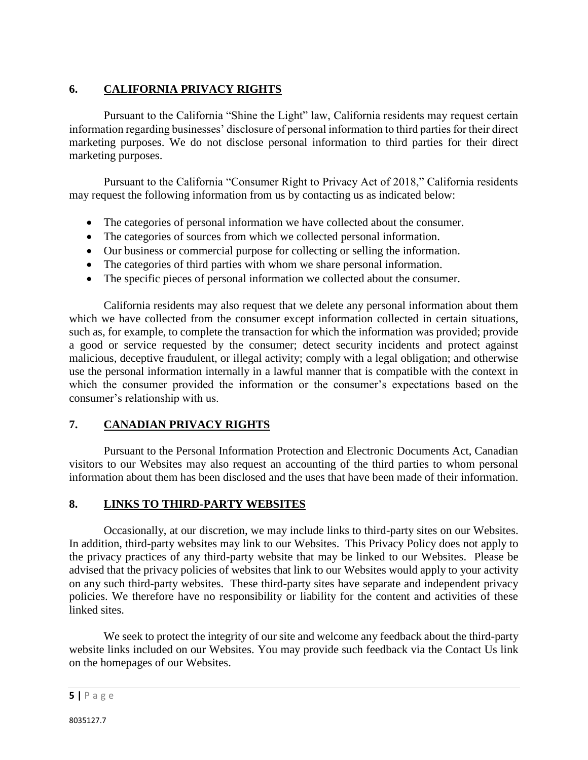# **6. CALIFORNIA PRIVACY RIGHTS**

Pursuant to the California "Shine the Light" law, California residents may request certain information regarding businesses' disclosure of personal information to third parties for their direct marketing purposes. We do not disclose personal information to third parties for their direct marketing purposes.

Pursuant to the California "Consumer Right to Privacy Act of 2018," California residents may request the following information from us by contacting us as indicated below:

- The categories of personal information we have collected about the consumer.
- The categories of sources from which we collected personal information.
- Our business or commercial purpose for collecting or selling the information.
- The categories of third parties with whom we share personal information.
- The specific pieces of personal information we collected about the consumer.

California residents may also request that we delete any personal information about them which we have collected from the consumer except information collected in certain situations, such as, for example, to complete the transaction for which the information was provided; provide a good or service requested by the consumer; detect security incidents and protect against malicious, deceptive fraudulent, or illegal activity; comply with a legal obligation; and otherwise use the personal information internally in a lawful manner that is compatible with the context in which the consumer provided the information or the consumer's expectations based on the consumer's relationship with us.

# **7. CANADIAN PRIVACY RIGHTS**

Pursuant to the Personal Information Protection and Electronic Documents Act, Canadian visitors to our Websites may also request an accounting of the third parties to whom personal information about them has been disclosed and the uses that have been made of their information.

### **8. LINKS TO THIRD-PARTY WEBSITES**

Occasionally, at our discretion, we may include links to third-party sites on our Websites. In addition, third-party websites may link to our Websites. This Privacy Policy does not apply to the privacy practices of any third-party website that may be linked to our Websites. Please be advised that the privacy policies of websites that link to our Websites would apply to your activity on any such third-party websites. These third-party sites have separate and independent privacy policies. We therefore have no responsibility or liability for the content and activities of these linked sites.

We seek to protect the integrity of our site and welcome any feedback about the third-party website links included on our Websites. You may provide such feedback via the Contact Us link on the homepages of our Websites.